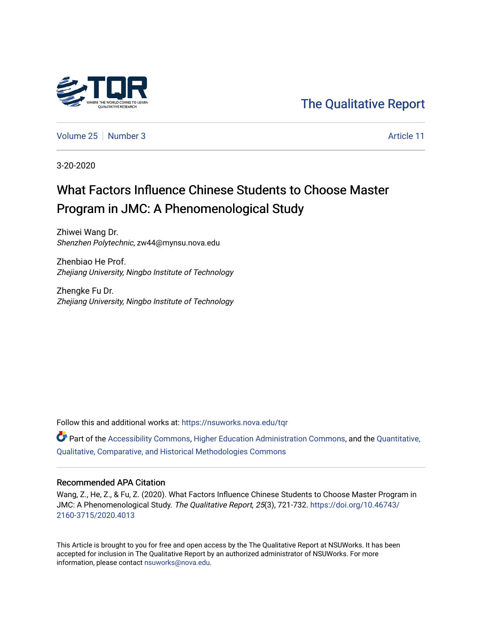

# [The Qualitative Report](https://nsuworks.nova.edu/tqr)

[Volume 25](https://nsuworks.nova.edu/tqr/vol25) [Number 3](https://nsuworks.nova.edu/tqr/vol25/iss3) Article 11

3-20-2020

# What Factors Influence Chinese Students to Choose Master Program in JMC: A Phenomenological Study

Zhiwei Wang Dr. Shenzhen Polytechnic, zw44@mynsu.nova.edu

Zhenbiao He Prof. Zhejiang University, Ningbo Institute of Technology

Zhengke Fu Dr. Zhejiang University, Ningbo Institute of Technology

Follow this and additional works at: [https://nsuworks.nova.edu/tqr](https://nsuworks.nova.edu/tqr?utm_source=nsuworks.nova.edu%2Ftqr%2Fvol25%2Fiss3%2F11&utm_medium=PDF&utm_campaign=PDFCoverPages) 

Part of the [Accessibility Commons,](http://network.bepress.com/hgg/discipline/1318?utm_source=nsuworks.nova.edu%2Ftqr%2Fvol25%2Fiss3%2F11&utm_medium=PDF&utm_campaign=PDFCoverPages) [Higher Education Administration Commons,](http://network.bepress.com/hgg/discipline/791?utm_source=nsuworks.nova.edu%2Ftqr%2Fvol25%2Fiss3%2F11&utm_medium=PDF&utm_campaign=PDFCoverPages) and the [Quantitative,](http://network.bepress.com/hgg/discipline/423?utm_source=nsuworks.nova.edu%2Ftqr%2Fvol25%2Fiss3%2F11&utm_medium=PDF&utm_campaign=PDFCoverPages) [Qualitative, Comparative, and Historical Methodologies Commons](http://network.bepress.com/hgg/discipline/423?utm_source=nsuworks.nova.edu%2Ftqr%2Fvol25%2Fiss3%2F11&utm_medium=PDF&utm_campaign=PDFCoverPages) 

#### Recommended APA Citation

Wang, Z., He, Z., & Fu, Z. (2020). What Factors Influence Chinese Students to Choose Master Program in JMC: A Phenomenological Study. The Qualitative Report, 25(3), 721-732. [https://doi.org/10.46743/](https://doi.org/10.46743/2160-3715/2020.4013) [2160-3715/2020.4013](https://doi.org/10.46743/2160-3715/2020.4013)

This Article is brought to you for free and open access by the The Qualitative Report at NSUWorks. It has been accepted for inclusion in The Qualitative Report by an authorized administrator of NSUWorks. For more information, please contact [nsuworks@nova.edu.](mailto:nsuworks@nova.edu)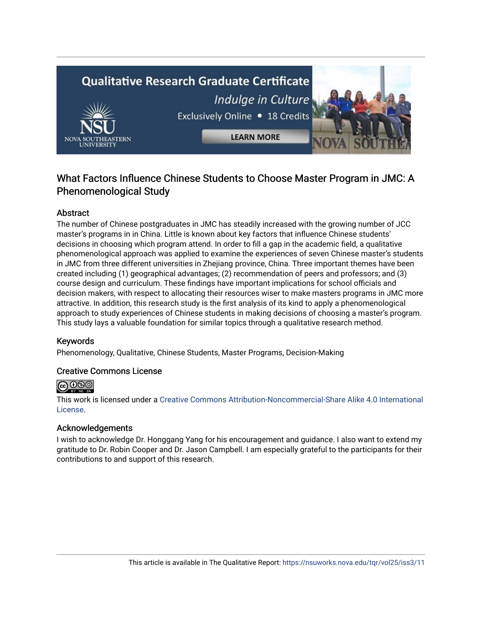# **Qualitative Research Graduate Certificate** Indulge in Culture Exclusively Online . 18 Credits **LEARN MORE**

# What Factors Influence Chinese Students to Choose Master Program in JMC: A Phenomenological Study

## Abstract

The number of Chinese postgraduates in JMC has steadily increased with the growing number of JCC master's programs in in China. Little is known about key factors that influence Chinese students' decisions in choosing which program attend. In order to fill a gap in the academic field, a qualitative phenomenological approach was applied to examine the experiences of seven Chinese master's students in JMC from three different universities in Zhejiang province, China. Three important themes have been created including (1) geographical advantages; (2) recommendation of peers and professors; and (3) course design and curriculum. These findings have important implications for school officials and decision makers, with respect to allocating their resources wiser to make masters programs in JMC more attractive. In addition, this research study is the first analysis of its kind to apply a phenomenological approach to study experiences of Chinese students in making decisions of choosing a master's program. This study lays a valuable foundation for similar topics through a qualitative research method.

## Keywords

Phenomenology, Qualitative, Chinese Students, Master Programs, Decision-Making

## Creative Commons License



This work is licensed under a [Creative Commons Attribution-Noncommercial-Share Alike 4.0 International](https://creativecommons.org/licenses/by-nc-sa/4.0/)  [License](https://creativecommons.org/licenses/by-nc-sa/4.0/).

#### Acknowledgements

I wish to acknowledge Dr. Honggang Yang for his encouragement and guidance. I also want to extend my gratitude to Dr. Robin Cooper and Dr. Jason Campbell. I am especially grateful to the participants for their contributions to and support of this research.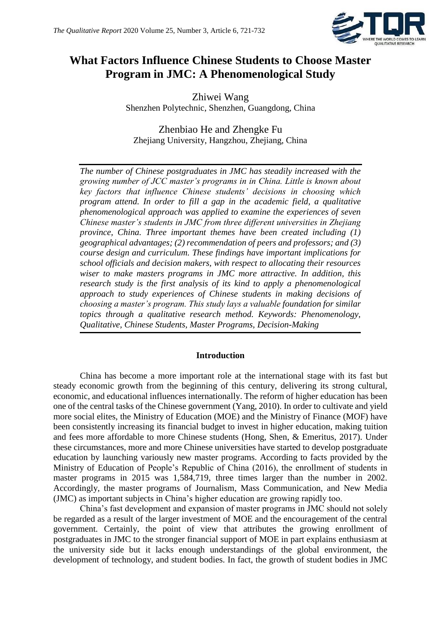

# **What Factors Influence Chinese Students to Choose Master Program in JMC: A Phenomenological Study**

Zhiwei Wang Shenzhen Polytechnic, Shenzhen, Guangdong, China

Zhenbiao He and Zhengke Fu Zhejiang University, Hangzhou, Zhejiang, China

*The number of Chinese postgraduates in JMC has steadily increased with the growing number of JCC master's programs in in China. Little is known about key factors that influence Chinese students' decisions in choosing which program attend. In order to fill a gap in the academic field, a qualitative phenomenological approach was applied to examine the experiences of seven Chinese master's students in JMC from three different universities in Zhejiang province, China. Three important themes have been created including (1) geographical advantages; (2) recommendation of peers and professors; and (3) course design and curriculum. These findings have important implications for school officials and decision makers, with respect to allocating their resources wiser to make masters programs in JMC more attractive. In addition, this research study is the first analysis of its kind to apply a phenomenological approach to study experiences of Chinese students in making decisions of choosing a master's program. This study lays a valuable foundation for similar topics through a qualitative research method. Keywords: Phenomenology, Qualitative, Chinese Students, Master Programs, Decision-Making*

## **Introduction**

China has become a more important role at the international stage with its fast but steady economic growth from the beginning of this century, delivering its strong cultural, economic, and educational influences internationally. The reform of higher education has been one of the central tasks of the Chinese government (Yang, 2010). In order to cultivate and yield more social elites, the Ministry of Education (MOE) and the Ministry of Finance (MOF) have been consistently increasing its financial budget to invest in higher education, making tuition and fees more affordable to more Chinese students (Hong, Shen, & Emeritus, 2017). Under these circumstances, more and more Chinese universities have started to develop postgraduate education by launching variously new master programs. According to facts provided by the Ministry of Education of People's Republic of China (2016), the enrollment of students in master programs in 2015 was 1,584,719, three times larger than the number in 2002. Accordingly, the master programs of Journalism, Mass Communication, and New Media (JMC) as important subjects in China's higher education are growing rapidly too.

China's fast development and expansion of master programs in JMC should not solely be regarded as a result of the larger investment of MOE and the encouragement of the central government. Certainly, the point of view that attributes the growing enrollment of postgraduates in JMC to the stronger financial support of MOE in part explains enthusiasm at the university side but it lacks enough understandings of the global environment, the development of technology, and student bodies. In fact, the growth of student bodies in JMC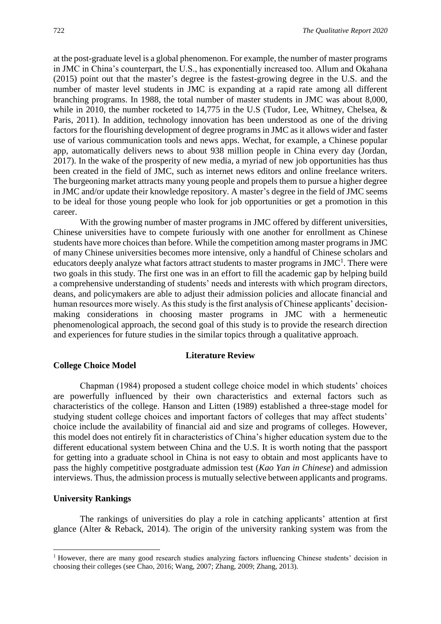at the post-graduate level is a global phenomenon. For example, the number of master programs in JMC in China's counterpart, the U.S., has exponentially increased too. Allum and Okahana (2015) point out that the master's degree is the fastest-growing degree in the U.S. and the number of master level students in JMC is expanding at a rapid rate among all different branching programs. In 1988, the total number of master students in JMC was about 8,000, while in 2010, the number rocketed to 14,775 in the U.S (Tudor, Lee, Whitney, Chelsea, & Paris, 2011). In addition, technology innovation has been understood as one of the driving factors for the flourishing development of degree programs in JMC as it allows wider and faster use of various communication tools and news apps. Wechat, for example, a Chinese popular app, automatically delivers news to about 938 million people in China every day (Jordan, 2017). In the wake of the prosperity of new media, a myriad of new job opportunities has thus been created in the field of JMC, such as internet news editors and online freelance writers. The burgeoning market attracts many young people and propels them to pursue a higher degree in JMC and/or update their knowledge repository. A master's degree in the field of JMC seems to be ideal for those young people who look for job opportunities or get a promotion in this career.

With the growing number of master programs in JMC offered by different universities, Chinese universities have to compete furiously with one another for enrollment as Chinese students have more choices than before. While the competition among master programs in JMC of many Chinese universities becomes more intensive, only a handful of Chinese scholars and educators deeply analyze what factors attract students to master programs in JMC<sup>1</sup>. There were two goals in this study. The first one was in an effort to fill the academic gap by helping build a comprehensive understanding of students' needs and interests with which program directors, deans, and policymakers are able to adjust their admission policies and allocate financial and human resources more wisely. As this study is the first analysis of Chinese applicants' decisionmaking considerations in choosing master programs in JMC with a hermeneutic phenomenological approach, the second goal of this study is to provide the research direction and experiences for future studies in the similar topics through a qualitative approach.

#### **Literature Review**

#### **College Choice Model**

Chapman (1984) proposed a student college choice model in which students' choices are powerfully influenced by their own characteristics and external factors such as characteristics of the college. Hanson and Litten (1989) established a three-stage model for studying student college choices and important factors of colleges that may affect students' choice include the availability of financial aid and size and programs of colleges. However, this model does not entirely fit in characteristics of China's higher education system due to the different educational system between China and the U.S. It is worth noting that the passport for getting into a graduate school in China is not easy to obtain and most applicants have to pass the highly competitive postgraduate admission test (*Kao Yan in Chinese*) and admission interviews. Thus, the admission process is mutually selective between applicants and programs.

#### **University Rankings**

1

The rankings of universities do play a role in catching applicants' attention at first glance (Alter & Reback, 2014). The origin of the university ranking system was from the

<sup>&</sup>lt;sup>1</sup> However, there are many good research studies analyzing factors influencing Chinese students' decision in choosing their colleges (see Chao, 2016; Wang, 2007; Zhang, 2009; Zhang, 2013).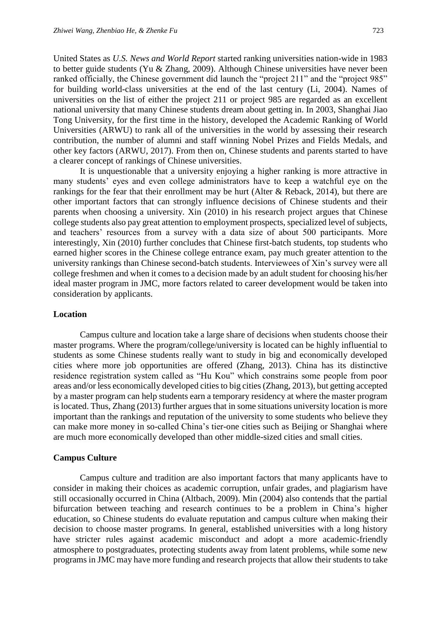United States as *U.S. News and World Report* started ranking universities nation-wide in 1983 to better guide students (Yu & Zhang, 2009). Although Chinese universities have never been ranked officially, the Chinese government did launch the "project 211" and the "project 985" for building world-class universities at the end of the last century (Li, 2004). Names of universities on the list of either the project 211 or project 985 are regarded as an excellent national university that many Chinese students dream about getting in. In 2003, Shanghai Jiao Tong University, for the first time in the history, developed the Academic Ranking of World Universities (ARWU) to rank all of the universities in the world by assessing their research contribution, the number of alumni and staff winning Nobel Prizes and Fields Medals, and other key factors (ARWU, 2017). From then on, Chinese students and parents started to have a clearer concept of rankings of Chinese universities.

It is unquestionable that a university enjoying a higher ranking is more attractive in many students' eyes and even college administrators have to keep a watchful eye on the rankings for the fear that their enrollment may be hurt (Alter & Reback, 2014), but there are other important factors that can strongly influence decisions of Chinese students and their parents when choosing a university. Xin (2010) in his research project argues that Chinese college students also pay great attention to employment prospects, specialized level of subjects, and teachers' resources from a survey with a data size of about 500 participants. More interestingly, Xin (2010) further concludes that Chinese first-batch students, top students who earned higher scores in the Chinese college entrance exam, pay much greater attention to the university rankings than Chinese second-batch students. Interviewees of Xin's survey were all college freshmen and when it comes to a decision made by an adult student for choosing his/her ideal master program in JMC, more factors related to career development would be taken into consideration by applicants.

#### **Location**

Campus culture and location take a large share of decisions when students choose their master programs. Where the program/college/university is located can be highly influential to students as some Chinese students really want to study in big and economically developed cities where more job opportunities are offered (Zhang, 2013). China has its distinctive residence registration system called as "Hu Kou" which constrains some people from poor areas and/or less economically developed cities to big cities (Zhang, 2013), but getting accepted by a master program can help students earn a temporary residency at where the master program is located. Thus, Zhang (2013) further argues that in some situations university location is more important than the rankings and reputation of the university to some students who believe they can make more money in so-called China's tier-one cities such as Beijing or Shanghai where are much more economically developed than other middle-sized cities and small cities.

#### **Campus Culture**

Campus culture and tradition are also important factors that many applicants have to consider in making their choices as academic corruption, unfair grades, and plagiarism have still occasionally occurred in China (Altbach, 2009). Min (2004) also contends that the partial bifurcation between teaching and research continues to be a problem in China's higher education, so Chinese students do evaluate reputation and campus culture when making their decision to choose master programs. In general, established universities with a long history have stricter rules against academic misconduct and adopt a more academic-friendly atmosphere to postgraduates, protecting students away from latent problems, while some new programs in JMC may have more funding and research projects that allow their students to take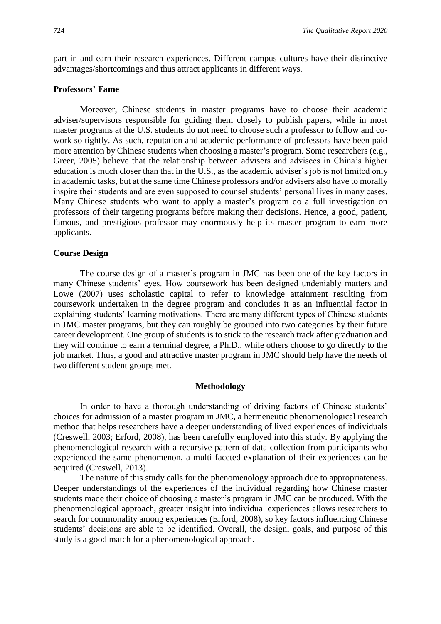part in and earn their research experiences. Different campus cultures have their distinctive advantages/shortcomings and thus attract applicants in different ways.

#### **Professors' Fame**

Moreover, Chinese students in master programs have to choose their academic adviser/supervisors responsible for guiding them closely to publish papers, while in most master programs at the U.S. students do not need to choose such a professor to follow and cowork so tightly. As such, reputation and academic performance of professors have been paid more attention by Chinese students when choosing a master's program. Some researchers (e.g., Greer, 2005) believe that the relationship between advisers and advisees in China's higher education is much closer than that in the U.S., as the academic adviser's job is not limited only in academic tasks, but at the same time Chinese professors and/or advisers also have to morally inspire their students and are even supposed to counsel students' personal lives in many cases. Many Chinese students who want to apply a master's program do a full investigation on professors of their targeting programs before making their decisions. Hence, a good, patient, famous, and prestigious professor may enormously help its master program to earn more applicants.

#### **Course Design**

The course design of a master's program in JMC has been one of the key factors in many Chinese students' eyes. How coursework has been designed undeniably matters and Lowe (2007) uses scholastic capital to refer to knowledge attainment resulting from coursework undertaken in the degree program and concludes it as an influential factor in explaining students' learning motivations. There are many different types of Chinese students in JMC master programs, but they can roughly be grouped into two categories by their future career development. One group of students is to stick to the research track after graduation and they will continue to earn a terminal degree, a Ph.D., while others choose to go directly to the job market. Thus, a good and attractive master program in JMC should help have the needs of two different student groups met.

#### **Methodology**

In order to have a thorough understanding of driving factors of Chinese students' choices for admission of a master program in JMC, a hermeneutic phenomenological research method that helps researchers have a deeper understanding of lived experiences of individuals (Creswell, 2003; Erford, 2008), has been carefully employed into this study. By applying the phenomenological research with a recursive pattern of data collection from participants who experienced the same phenomenon, a multi-faceted explanation of their experiences can be acquired (Creswell, 2013).

The nature of this study calls for the phenomenology approach due to appropriateness. Deeper understandings of the experiences of the individual regarding how Chinese master students made their choice of choosing a master's program in JMC can be produced. With the phenomenological approach, greater insight into individual experiences allows researchers to search for commonality among experiences (Erford, 2008), so key factors influencing Chinese students' decisions are able to be identified. Overall, the design, goals, and purpose of this study is a good match for a phenomenological approach.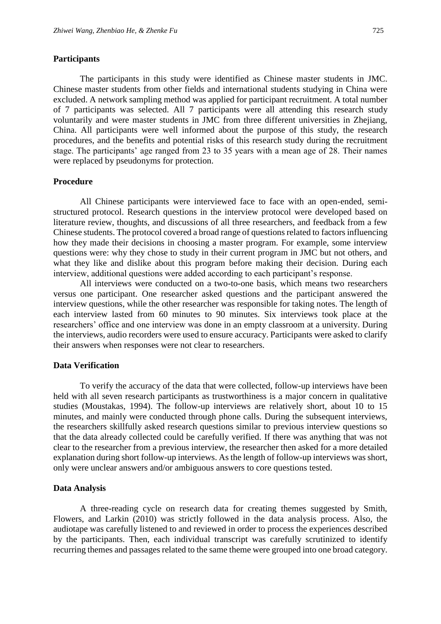#### **Participants**

The participants in this study were identified as Chinese master students in JMC. Chinese master students from other fields and international students studying in China were excluded. A network sampling method was applied for participant recruitment. A total number of 7 participants was selected. All 7 participants were all attending this research study voluntarily and were master students in JMC from three different universities in Zhejiang, China. All participants were well informed about the purpose of this study, the research procedures, and the benefits and potential risks of this research study during the recruitment stage. The participants' age ranged from 23 to 35 years with a mean age of 28. Their names were replaced by pseudonyms for protection.

#### **Procedure**

All Chinese participants were interviewed face to face with an open-ended, semistructured protocol. Research questions in the interview protocol were developed based on literature review, thoughts, and discussions of all three researchers, and feedback from a few Chinese students. The protocol covered a broad range of questions related to factors influencing how they made their decisions in choosing a master program. For example, some interview questions were: why they chose to study in their current program in JMC but not others, and what they like and dislike about this program before making their decision. During each interview, additional questions were added according to each participant's response.

All interviews were conducted on a two-to-one basis, which means two researchers versus one participant. One researcher asked questions and the participant answered the interview questions, while the other researcher was responsible for taking notes. The length of each interview lasted from 60 minutes to 90 minutes. Six interviews took place at the researchers' office and one interview was done in an empty classroom at a university. During the interviews, audio recorders were used to ensure accuracy. Participants were asked to clarify their answers when responses were not clear to researchers.

#### **Data Verification**

To verify the accuracy of the data that were collected, follow-up interviews have been held with all seven research participants as trustworthiness is a major concern in qualitative studies (Moustakas, 1994). The follow-up interviews are relatively short, about 10 to 15 minutes, and mainly were conducted through phone calls. During the subsequent interviews, the researchers skillfully asked research questions similar to previous interview questions so that the data already collected could be carefully verified. If there was anything that was not clear to the researcher from a previous interview, the researcher then asked for a more detailed explanation during short follow-up interviews. As the length of follow-up interviews was short, only were unclear answers and/or ambiguous answers to core questions tested.

#### **Data Analysis**

A three-reading cycle on research data for creating themes suggested by Smith, Flowers, and Larkin (2010) was strictly followed in the data analysis process. Also, the audiotape was carefully listened to and reviewed in order to process the experiences described by the participants. Then, each individual transcript was carefully scrutinized to identify recurring themes and passages related to the same theme were grouped into one broad category.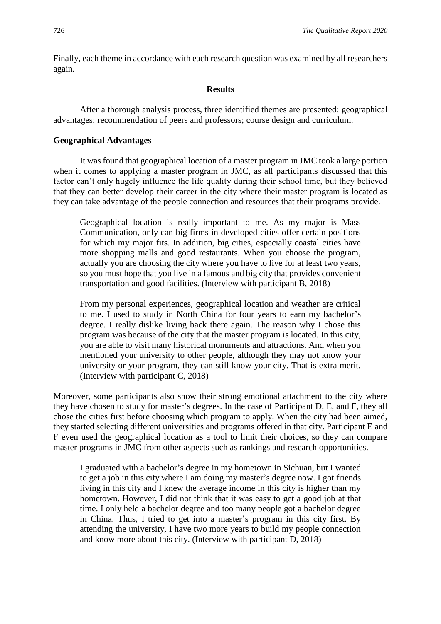Finally, each theme in accordance with each research question was examined by all researchers again.

#### **Results**

After a thorough analysis process, three identified themes are presented: geographical advantages; recommendation of peers and professors; course design and curriculum.

#### **Geographical Advantages**

It was found that geographical location of a master program in JMC took a large portion when it comes to applying a master program in JMC, as all participants discussed that this factor can't only hugely influence the life quality during their school time, but they believed that they can better develop their career in the city where their master program is located as they can take advantage of the people connection and resources that their programs provide.

Geographical location is really important to me. As my major is Mass Communication, only can big firms in developed cities offer certain positions for which my major fits. In addition, big cities, especially coastal cities have more shopping malls and good restaurants. When you choose the program, actually you are choosing the city where you have to live for at least two years, so you must hope that you live in a famous and big city that provides convenient transportation and good facilities. (Interview with participant B, 2018)

From my personal experiences, geographical location and weather are critical to me. I used to study in North China for four years to earn my bachelor's degree. I really dislike living back there again. The reason why I chose this program was because of the city that the master program is located. In this city, you are able to visit many historical monuments and attractions. And when you mentioned your university to other people, although they may not know your university or your program, they can still know your city. That is extra merit. (Interview with participant C, 2018)

Moreover, some participants also show their strong emotional attachment to the city where they have chosen to study for master's degrees. In the case of Participant D, E, and F, they all chose the cities first before choosing which program to apply. When the city had been aimed, they started selecting different universities and programs offered in that city. Participant E and F even used the geographical location as a tool to limit their choices, so they can compare master programs in JMC from other aspects such as rankings and research opportunities.

I graduated with a bachelor's degree in my hometown in Sichuan, but I wanted to get a job in this city where I am doing my master's degree now. I got friends living in this city and I knew the average income in this city is higher than my hometown. However, I did not think that it was easy to get a good job at that time. I only held a bachelor degree and too many people got a bachelor degree in China. Thus, I tried to get into a master's program in this city first. By attending the university, I have two more years to build my people connection and know more about this city. (Interview with participant D, 2018)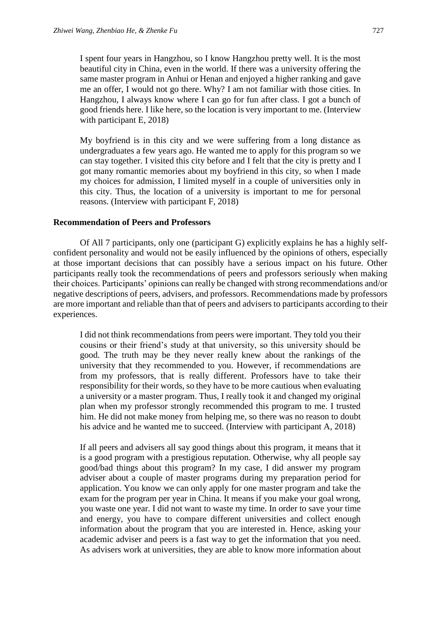I spent four years in Hangzhou, so I know Hangzhou pretty well. It is the most beautiful city in China, even in the world. If there was a university offering the same master program in Anhui or Henan and enjoyed a higher ranking and gave me an offer, I would not go there. Why? I am not familiar with those cities. In Hangzhou, I always know where I can go for fun after class. I got a bunch of good friends here. I like here, so the location is very important to me. (Interview with participant E, 2018)

My boyfriend is in this city and we were suffering from a long distance as undergraduates a few years ago. He wanted me to apply for this program so we can stay together. I visited this city before and I felt that the city is pretty and I got many romantic memories about my boyfriend in this city, so when I made my choices for admission, I limited myself in a couple of universities only in this city. Thus, the location of a university is important to me for personal reasons. (Interview with participant F, 2018)

#### **Recommendation of Peers and Professors**

Of All 7 participants, only one (participant G) explicitly explains he has a highly selfconfident personality and would not be easily influenced by the opinions of others, especially at those important decisions that can possibly have a serious impact on his future. Other participants really took the recommendations of peers and professors seriously when making their choices. Participants' opinions can really be changed with strong recommendations and/or negative descriptions of peers, advisers, and professors. Recommendations made by professors are more important and reliable than that of peers and advisers to participants according to their experiences.

I did not think recommendations from peers were important. They told you their cousins or their friend's study at that university, so this university should be good. The truth may be they never really knew about the rankings of the university that they recommended to you. However, if recommendations are from my professors, that is really different. Professors have to take their responsibility for their words, so they have to be more cautious when evaluating a university or a master program. Thus, I really took it and changed my original plan when my professor strongly recommended this program to me. I trusted him. He did not make money from helping me, so there was no reason to doubt his advice and he wanted me to succeed. (Interview with participant A, 2018)

If all peers and advisers all say good things about this program, it means that it is a good program with a prestigious reputation. Otherwise, why all people say good/bad things about this program? In my case, I did answer my program adviser about a couple of master programs during my preparation period for application. You know we can only apply for one master program and take the exam for the program per year in China. It means if you make your goal wrong, you waste one year. I did not want to waste my time. In order to save your time and energy, you have to compare different universities and collect enough information about the program that you are interested in. Hence, asking your academic adviser and peers is a fast way to get the information that you need. As advisers work at universities, they are able to know more information about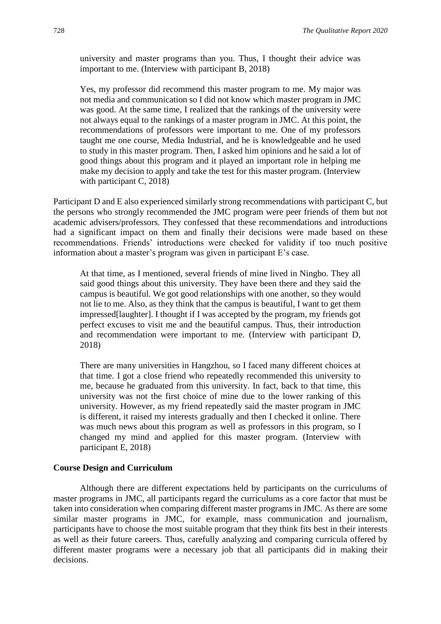university and master programs than you. Thus, I thought their advice was important to me. (Interview with participant B, 2018)

Yes, my professor did recommend this master program to me. My major was not media and communication so I did not know which master program in JMC was good. At the same time, I realized that the rankings of the university were not always equal to the rankings of a master program in JMC. At this point, the recommendations of professors were important to me. One of my professors taught me one course, Media Industrial, and he is knowledgeable and he used to study in this master program. Then, I asked him opinions and he said a lot of good things about this program and it played an important role in helping me make my decision to apply and take the test for this master program. (Interview with participant C, 2018)

Participant D and E also experienced similarly strong recommendations with participant C, but the persons who strongly recommended the JMC program were peer friends of them but not academic advisers/professors. They confessed that these recommendations and introductions had a significant impact on them and finally their decisions were made based on these recommendations. Friends' introductions were checked for validity if too much positive information about a master's program was given in participant E's case.

At that time, as I mentioned, several friends of mine lived in Ningbo. They all said good things about this university. They have been there and they said the campus is beautiful. We got good relationships with one another, so they would not lie to me. Also, as they think that the campus is beautiful, I want to get them impressed[laughter]. I thought if I was accepted by the program, my friends got perfect excuses to visit me and the beautiful campus. Thus, their introduction and recommendation were important to me. (Interview with participant D, 2018)

There are many universities in Hangzhou, so I faced many different choices at that time. I got a close friend who repeatedly recommended this university to me, because he graduated from this university. In fact, back to that time, this university was not the first choice of mine due to the lower ranking of this university. However, as my friend repeatedly said the master program in JMC is different, it raised my interests gradually and then I checked it online. There was much news about this program as well as professors in this program, so I changed my mind and applied for this master program. (Interview with participant E, 2018)

### **Course Design and Curriculum**

Although there are different expectations held by participants on the curriculums of master programs in JMC, all participants regard the curriculums as a core factor that must be taken into consideration when comparing different master programs in JMC. As there are some similar master programs in JMC, for example, mass communication and journalism, participants have to choose the most suitable program that they think fits best in their interests as well as their future careers. Thus, carefully analyzing and comparing curricula offered by different master programs were a necessary job that all participants did in making their decisions.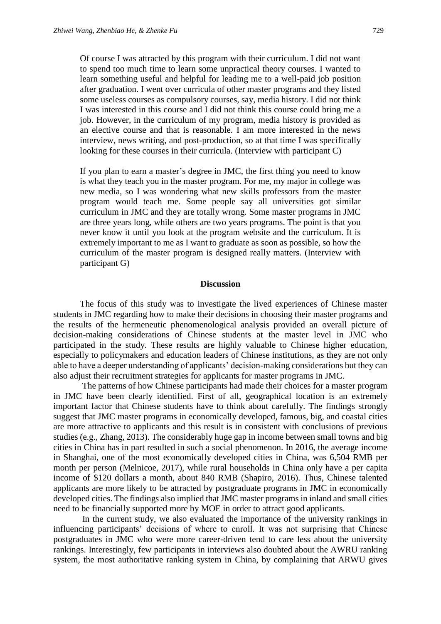Of course I was attracted by this program with their curriculum. I did not want to spend too much time to learn some unpractical theory courses. I wanted to learn something useful and helpful for leading me to a well-paid job position after graduation. I went over curricula of other master programs and they listed some useless courses as compulsory courses, say, media history. I did not think I was interested in this course and I did not think this course could bring me a job. However, in the curriculum of my program, media history is provided as an elective course and that is reasonable. I am more interested in the news interview, news writing, and post-production, so at that time I was specifically looking for these courses in their curricula. (Interview with participant C)

If you plan to earn a master's degree in JMC, the first thing you need to know is what they teach you in the master program. For me, my major in college was new media, so I was wondering what new skills professors from the master program would teach me. Some people say all universities got similar curriculum in JMC and they are totally wrong. Some master programs in JMC are three years long, while others are two years programs. The point is that you never know it until you look at the program website and the curriculum. It is extremely important to me as I want to graduate as soon as possible, so how the curriculum of the master program is designed really matters. (Interview with participant G)

#### **Discussion**

The focus of this study was to investigate the lived experiences of Chinese master students in JMC regarding how to make their decisions in choosing their master programs and the results of the hermeneutic phenomenological analysis provided an overall picture of decision-making considerations of Chinese students at the master level in JMC who participated in the study. These results are highly valuable to Chinese higher education, especially to policymakers and education leaders of Chinese institutions, as they are not only able to have a deeper understanding of applicants' decision-making considerations but they can also adjust their recruitment strategies for applicants for master programs in JMC.

The patterns of how Chinese participants had made their choices for a master program in JMC have been clearly identified. First of all, geographical location is an extremely important factor that Chinese students have to think about carefully. The findings strongly suggest that JMC master programs in economically developed, famous, big, and coastal cities are more attractive to applicants and this result is in consistent with conclusions of previous studies (e.g., Zhang, 2013). The considerably huge gap in income between small towns and big cities in China has in part resulted in such a social phenomenon. In 2016, the average income in Shanghai, one of the most economically developed cities in China, was 6,504 RMB per month per person (Melnicoe, 2017), while rural households in China only have a per capita income of \$120 dollars a month, about 840 RMB (Shapiro, 2016). Thus, Chinese talented applicants are more likely to be attracted by postgraduate programs in JMC in economically developed cities. The findings also implied that JMC master programs in inland and small cities need to be financially supported more by MOE in order to attract good applicants.

In the current study, we also evaluated the importance of the university rankings in influencing participants' decisions of where to enroll. It was not surprising that Chinese postgraduates in JMC who were more career-driven tend to care less about the university rankings. Interestingly, few participants in interviews also doubted about the AWRU ranking system, the most authoritative ranking system in China, by complaining that ARWU gives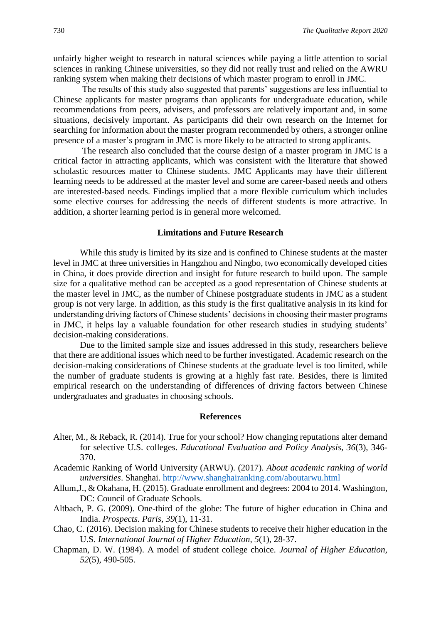unfairly higher weight to research in natural sciences while paying a little attention to social sciences in ranking Chinese universities, so they did not really trust and relied on the AWRU ranking system when making their decisions of which master program to enroll in JMC.

The results of this study also suggested that parents' suggestions are less influential to Chinese applicants for master programs than applicants for undergraduate education, while recommendations from peers, advisers, and professors are relatively important and, in some situations, decisively important. As participants did their own research on the Internet for searching for information about the master program recommended by others, a stronger online presence of a master's program in JMC is more likely to be attracted to strong applicants.

The research also concluded that the course design of a master program in JMC is a critical factor in attracting applicants, which was consistent with the literature that showed scholastic resources matter to Chinese students. JMC Applicants may have their different learning needs to be addressed at the master level and some are career-based needs and others are interested-based needs. Findings implied that a more flexible curriculum which includes some elective courses for addressing the needs of different students is more attractive. In addition, a shorter learning period is in general more welcomed.

#### **Limitations and Future Research**

While this study is limited by its size and is confined to Chinese students at the master level in JMC at three universities in Hangzhou and Ningbo, two economically developed cities in China, it does provide direction and insight for future research to build upon. The sample size for a qualitative method can be accepted as a good representation of Chinese students at the master level in JMC, as the number of Chinese postgraduate students in JMC as a student group is not very large. In addition, as this study is the first qualitative analysis in its kind for understanding driving factors of Chinese students' decisions in choosing their master programs in JMC, it helps lay a valuable foundation for other research studies in studying students' decision-making considerations.

Due to the limited sample size and issues addressed in this study, researchers believe that there are additional issues which need to be further investigated. Academic research on the decision-making considerations of Chinese students at the graduate level is too limited, while the number of graduate students is growing at a highly fast rate. Besides, there is limited empirical research on the understanding of differences of driving factors between Chinese undergraduates and graduates in choosing schools.

#### **References**

- Alter, M., & Reback, R. (2014). True for your school? How changing reputations alter demand for selective U.S. colleges. *Educational Evaluation and Policy Analysis, 36*(3), 346- 370.
- Academic Ranking of World University (ARWU). (2017). *About academic ranking of world universities*. Shanghai.<http://www.shanghairanking.com/aboutarwu.html>
- Allum,J., & Okahana, H. (2015). Graduate enrollment and degrees: 2004 to 2014. Washington, DC: Council of Graduate Schools.
- Altbach, P. G. (2009). One-third of the globe: The future of higher education in China and India. *Prospects. Paris, 39*(1), 11-31.
- Chao, C. (2016). Decision making for Chinese students to receive their higher education in the U.S. *International Journal of Higher Education, 5*(1), 28-37.
- Chapman, D. W. (1984). A model of student college choice. *Journal of Higher Education, 52*(5), 490-505.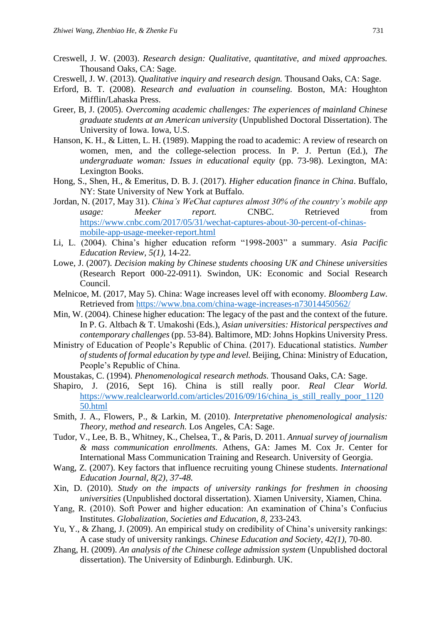- Creswell, J. W. (2003). *Research design: Qualitative, quantitative, and mixed approaches.*  Thousand Oaks, CA: Sage.
- Creswell, J. W. (2013). *Qualitative inquiry and research design.* Thousand Oaks, CA: Sage.
- Erford, B. T. (2008). *Research and evaluation in counseling.* Boston, MA: Houghton Mifflin/Lahaska Press.
- Greer, B, J. (2005). *Overcoming academic challenges: The experiences of mainland Chinese graduate students at an American university* (Unpublished Doctoral Dissertation). The University of Iowa. Iowa, U.S.
- Hanson, K. H., & Litten, L. H. (1989). Mapping the road to academic: A review of research on women, men, and the college-selection process. In P. J. Pertun (Ed*.*), *The undergraduate woman: Issues in educational equity* (pp. 73-98). Lexington, MA: Lexington Books.
- Hong, S., Shen, H., & Emeritus, D. B. J. (2017). *Higher education finance in China*. Buffalo, NY: State University of New York at Buffalo.
- Jordan, N. (2017, May 31). *China's WeChat captures almost 30% of the country's mobile app usage: Meeker report.* CNBC. Retrieved from [https://www.cnbc.com/2017/05/31/wechat-captures-about-30-percent-of-chinas](https://www.cnbc.com/2017/05/31/wechat-captures-about-30-percent-of-chinas-mobile-app-usage-meeker-report.html)[mobile-app-usage-meeker-report.html](https://www.cnbc.com/2017/05/31/wechat-captures-about-30-percent-of-chinas-mobile-app-usage-meeker-report.html)
- Li, L. (2004). China's higher education reform "1998-2003" a summary. *Asia Pacific Education Review, 5(1),* 14-22.
- Lowe, J. (2007). *Decision making by Chinese students choosing UK and Chinese universities* (Research Report 000-22-0911). Swindon, UK: Economic and Social Research Council.
- Melnicoe, M. (2017, May 5). China: Wage increases level off with economy. *Bloomberg Law.*  Retrieved from<https://www.bna.com/china-wage-increases-n73014450562/>
- Min, W. (2004). Chinese higher education: The legacy of the past and the context of the future. In P. G. Altbach & T. Umakoshi (Eds.), *Asian universities: Historical perspectives and contemporary challenges* (pp. 53-84). Baltimore, MD: Johns Hopkins University Press.
- Ministry of Education of People's Republic of China. (2017). Educational statistics*. Number of students of formal education by type and level.* Beijing, China: Ministry of Education, People's Republic of China.
- Moustakas, C. (1994). *Phenomenological research methods.* Thousand Oaks, CA: Sage.
- Shapiro, J. (2016, Sept 16). China is still really poor. *Real Clear World.*  [https://www.realclearworld.com/articles/2016/09/16/china\\_is\\_still\\_really\\_poor\\_1120](https://www.realclearworld.com/articles/2016/09/16/china_is_still_really_poor_112050.html) [50.html](https://www.realclearworld.com/articles/2016/09/16/china_is_still_really_poor_112050.html)
- Smith, J. A., Flowers, P., & Larkin, M. (2010). *Interpretative phenomenological analysis: Theory, method and research.* Los Angeles, CA: Sage.
- Tudor, V., Lee, B. B., Whitney, K., Chelsea, T., & Paris, D. 2011. *Annual survey of journalism & mass communication enrollments.* Athens, GA: James M. Cox Jr. Center for International Mass Communication Training and Research. University of Georgia.
- Wang, Z. (2007). Key factors that influence recruiting young Chinese students. *International Education Journal, 8(2), 37-48.*
- Xin, D. (2010). *Study on the impacts of university rankings for freshmen in choosing universities* (Unpublished doctoral dissertation). Xiamen University, Xiamen, China.
- Yang, R. (2010). Soft Power and higher education: An examination of China's Confucius Institutes. *Globalization, Societies and Education, 8,* 233-243.
- Yu, Y., & Zhang, J. (2009). An empirical study on credibility of China's university rankings: A case study of university rankings*. Chinese Education and Society, 42(1),* 70-80.
- Zhang, H. (2009). *An analysis of the Chinese college admission system* (Unpublished doctoral dissertation). The University of Edinburgh. Edinburgh. UK.